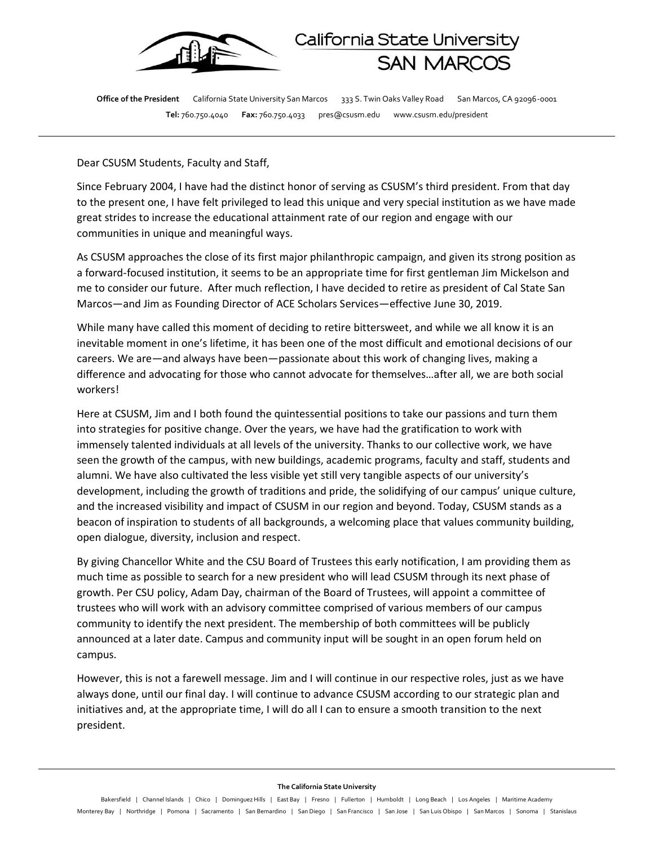

Office of the President California State University San Marcos 333 S. Twin Oaks Valley Road San Marcos, CA 92096-0001 **Tel:** 760.750.4040 **Fax:** 760.750.4033 pres@csusm.edu www.csusm.edu/president

California State University

**SAN MARCC** 

Dear CSUSM Students, Faculty and Staff,

Since February 2004, I have had the distinct honor of serving as CSUSM's third president. From that day to the present one, I have felt privileged to lead this unique and very special institution as we have made great strides to increase the educational attainment rate of our region and engage with our communities in unique and meaningful ways.

As CSUSM approaches the close of its first major philanthropic campaign, and given its strong position as a forward-focused institution, it seems to be an appropriate time for first gentleman Jim Mickelson and me to consider our future. After much reflection, I have decided to retire as president of Cal State San Marcos—and Jim as Founding Director of ACE Scholars Services—effective June 30, 2019.

While many have called this moment of deciding to retire bittersweet, and while we all know it is an inevitable moment in one's lifetime, it has been one of the most difficult and emotional decisions of our careers. We are—and always have been—passionate about this work of changing lives, making a difference and advocating for those who cannot advocate for themselves…after all, we are both social workers!

Here at CSUSM, Jim and I both found the quintessential positions to take our passions and turn them into strategies for positive change. Over the years, we have had the gratification to work with immensely talented individuals at all levels of the university. Thanks to our collective work, we have seen the growth of the campus, with new buildings, academic programs, faculty and staff, students and alumni. We have also cultivated the less visible yet still very tangible aspects of our university's development, including the growth of traditions and pride, the solidifying of our campus' unique culture, and the increased visibility and impact of CSUSM in our region and beyond. Today, CSUSM stands as a beacon of inspiration to students of all backgrounds, a welcoming place that values community building, open dialogue, diversity, inclusion and respect.

By giving Chancellor White and the CSU Board of Trustees this early notification, I am providing them as much time as possible to search for a new president who will lead CSUSM through its next phase of growth. Per CSU policy, Adam Day, chairman of the Board of Trustees, will appoint a committee of trustees who will work with an advisory committee comprised of various members of our campus community to identify the next president. The membership of both committees will be publicly announced at a later date. Campus and community input will be sought in an open forum held on campus.

However, this is not a farewell message. Jim and I will continue in our respective roles, just as we have always done, until our final day. I will continue to advance CSUSM according to our strategic plan and initiatives and, at the appropriate time, I will do all I can to ensure a smooth transition to the next president.

## **The California State University**